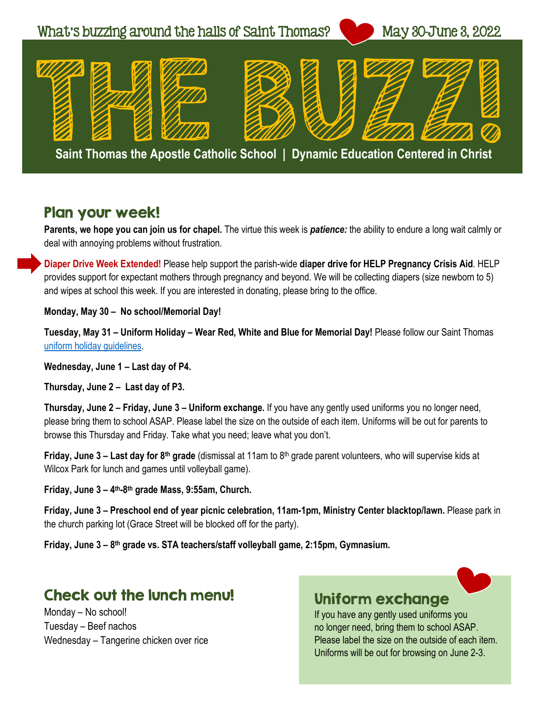

#### Plan your week!

**Parents, we hope you can join us for chapel.** The virtue this week is *patience:* the ability to endure a long wait calmly or deal with annoying problems without frustration.

**Diaper Drive Week Extended!** Please help support the parish-wide **diaper drive for HELP Pregnancy Crisis Aid**. HELP provides support for expectant mothers through pregnancy and beyond. We will be collecting diapers (size newborn to 5) and wipes at school this week. If you are interested in donating, please bring to the office.

**Monday, May 30 – No school/Memorial Day!**

**Tuesday, May 31 – Uniform Holiday – Wear Red, White and Blue for Memorial Day!** Please follow our Saint Thomas [uniform holiday guidelines.](http://www.stthomasgr.org/images/Saint_Thomas_Uniform_Holiday_Guidelines_2021.pdf)

**Wednesday, June 1 – Last day of P4.**

**Thursday, June 2 – Last day of P3.**

**Thursday, June 2 – Friday, June 3 – Uniform exchange.** If you have any gently used uniforms you no longer need, please bring them to school ASAP. Please label the size on the outside of each item. Uniforms will be out for parents to browse this Thursday and Friday. Take what you need; leave what you don't.

**Friday, June 3 – Last day for 8<sup>th</sup> grade** (dismissal at 11am to 8<sup>th</sup> grade parent volunteers, who will supervise kids at Wilcox Park for lunch and games until volleyball game).

**Friday, June 3 – 4th-8th grade Mass, 9:55am, Church.** 

**Friday, June 3 – Preschool end of year picnic celebration, 11am-1pm, Ministry Center blacktop/lawn.** Please park in the church parking lot (Grace Street will be blocked off for the party).

**Friday, June 3 – 8th grade vs. STA teachers/staff volleyball game, 2:15pm, Gymnasium.** 

### Check out the lunch menu!

Monday – No school! Tuesday – Beef nachos Wednesday – Tangerine chicken over rice



If you have any gently used uniforms you no longer need, bring them to school ASAP. Please label the size on the outside of each item. Uniforms will be out for browsing on June 2-3.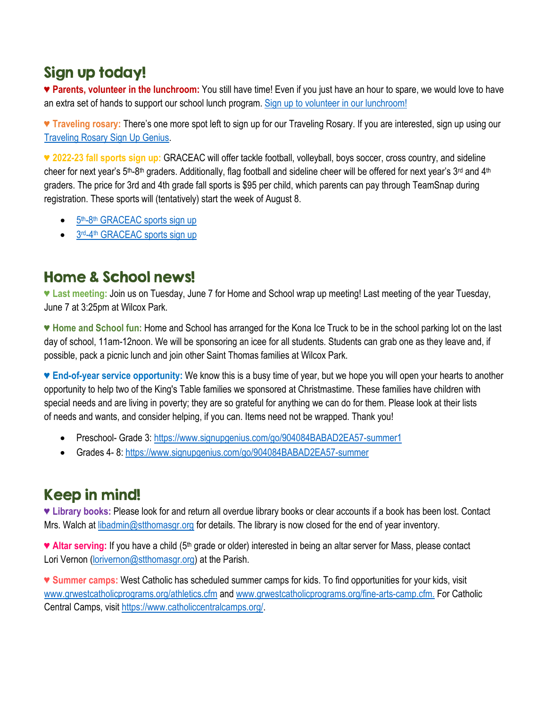## Sign up today!

♥ **Parents, volunteer in the lunchroom:** You still have time! Even if you just have an hour to spare, we would love to have an extra set of hands to support our school lunch program. [Sign up to volunteer in our lunchroom!](https://www.signupgenius.com/go/10c0f49aca72caaf4c16-lunchroom)

♥ **Traveling rosary:** There's one more spot left to sign up for our Traveling Rosary. If you are interested, sign up using our [Traveling Rosary Sign Up Genius.](https://www.signupgenius.com/go/9040e4aa9af29a31-traveling) 

**♥ 2022-23 fall sports sign up:** GRACEAC will offer tackle football, volleyball, boys soccer, cross country, and sideline cheer for next year's 5<sup>th</sup>-8<sup>th</sup> graders. Additionally, flag football and sideline cheer will be offered for next year's 3<sup>rd</sup> and 4<sup>th</sup> graders. The price for 3rd and 4th grade fall sports is \$95 per child, which parents can pay through TeamSnap during registration. These sports will (tentatively) start the week of August 8.

- 5<sup>th</sup>-8<sup>th</sup> [GRACEAC sports sign up](https://go.teamsnap.com/forms/314220)
- 3rd-4th [GRACEAC sports sign up](https://go.teamsnap.com/forms/314224)

## Home & School news!

**♥ Last meeting:** Join us on Tuesday, June 7 for Home and School wrap up meeting! Last meeting of the year Tuesday, June 7 at 3:25pm at Wilcox Park.

**♥ Home and School fun:** Home and School has arranged for the Kona Ice Truck to be in the school parking lot on the last day of school, 11am-12noon. We will be sponsoring an icee for all students. Students can grab one as they leave and, if possible, pack a picnic lunch and join other Saint Thomas families at Wilcox Park.

♥ **End-of-year service opportunity:** We know this is a busy time of year, but we hope you will open your hearts to another opportunity to help two of the King's Table families we sponsored at Christmastime. These families have children with special needs and are living in poverty; they are so grateful for anything we can do for them. Please look at their lists of needs and wants, and consider helping, if you can. Items need not be wrapped. Thank you!

- Preschool- Grade 3[: https://www.signupgenius.com/go/904084BABAD2EA57-summer1](https://www.signupgenius.com/go/904084BABAD2EA57-summer1)
- Grades 4-8[: https://www.signupgenius.com/go/904084BABAD2EA57-summer](https://www.signupgenius.com/go/904084BABAD2EA57-summer)

## Keep in mind!

**♥ Library books:** Please look for and return all overdue library books or clear accounts if a book has been lost. Contact Mrs. Walch at [libadmin@stthomasgr.org](mailto:libadmin@stthomasgr.org) for details. The library is now closed for the end of year inventory.

♥ **Altar serving:** If you have a child (5th grade or older) interested in being an altar server for Mass, please contact Lori Vernon [\(lorivernon@stthomasgr.org\)](mailto:lorivernon@stthomasgr.org) at the Parish.

♥ **Summer camps:** West Catholic has scheduled summer camps for kids. To find opportunities for your kids, visit [www.grwestcatholicprograms.org/athletics.cfm](http://www.grwestcatholicprograms.org/athletics.cfm) and [www.grwestcatholicprograms.org/fine-arts-camp.cfm.](http://www.grwestcatholicprograms.org/fine-arts-camp.cfm) For Catholic Central Camps, visit [https://www.catholiccentralcamps.org/.](https://www.catholiccentralcamps.org/)